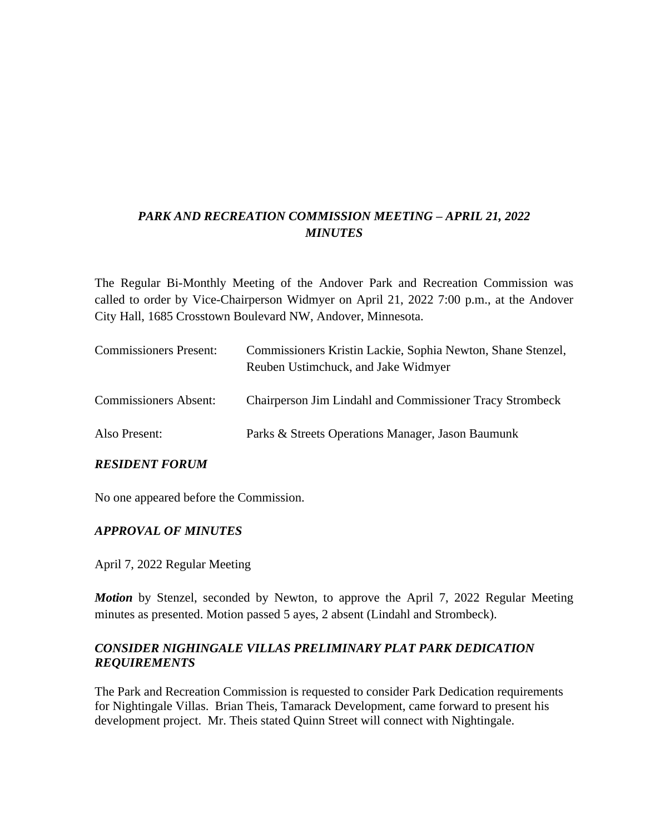# *PARK AND RECREATION COMMISSION MEETING – APRIL 21, 2022 MINUTES*

The Regular Bi-Monthly Meeting of the Andover Park and Recreation Commission was called to order by Vice-Chairperson Widmyer on April 21, 2022 7:00 p.m., at the Andover City Hall, 1685 Crosstown Boulevard NW, Andover, Minnesota.

| <b>Commissioners Present:</b> | Commissioners Kristin Lackie, Sophia Newton, Shane Stenzel,<br>Reuben Ustimchuck, and Jake Widmyer |
|-------------------------------|----------------------------------------------------------------------------------------------------|
| <b>Commissioners Absent:</b>  | <b>Chairperson Jim Lindahl and Commissioner Tracy Strombeck</b>                                    |
| Also Present:                 | Parks & Streets Operations Manager, Jason Baumunk                                                  |

#### *RESIDENT FORUM*

No one appeared before the Commission.

#### *APPROVAL OF MINUTES*

April 7, 2022 Regular Meeting

*Motion* by Stenzel, seconded by Newton, to approve the April 7, 2022 Regular Meeting minutes as presented. Motion passed 5 ayes, 2 absent (Lindahl and Strombeck).

### *CONSIDER NIGHINGALE VILLAS PRELIMINARY PLAT PARK DEDICATION REQUIREMENTS*

The Park and Recreation Commission is requested to consider Park Dedication requirements for Nightingale Villas. Brian Theis, Tamarack Development, came forward to present his development project. Mr. Theis stated Quinn Street will connect with Nightingale.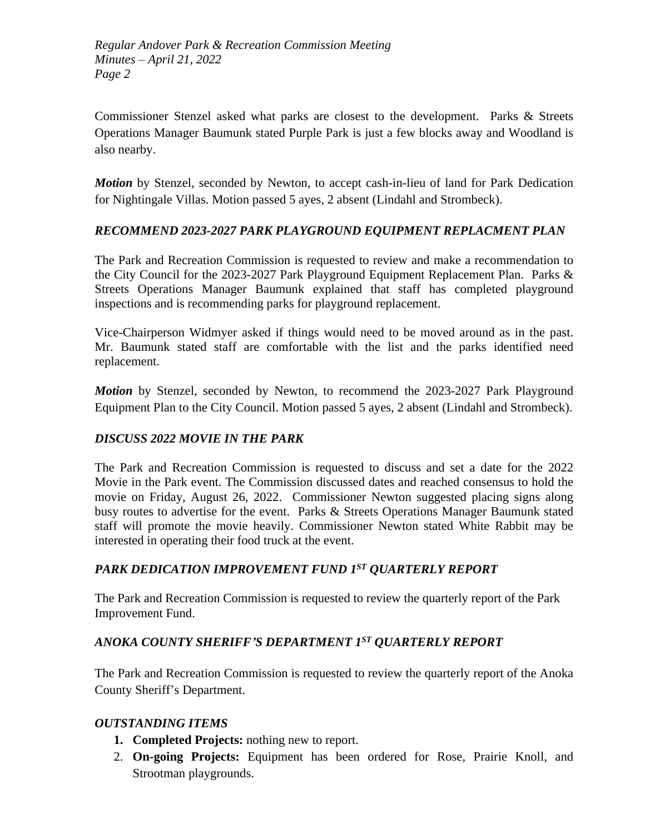Commissioner Stenzel asked what parks are closest to the development. Parks & Streets Operations Manager Baumunk stated Purple Park is just a few blocks away and Woodland is also nearby.

*Motion* by Stenzel, seconded by Newton, to accept cash-in-lieu of land for Park Dedication for Nightingale Villas. Motion passed 5 ayes, 2 absent (Lindahl and Strombeck).

# *RECOMMEND 2023-2027 PARK PLAYGROUND EQUIPMENT REPLACMENT PLAN*

The Park and Recreation Commission is requested to review and make a recommendation to the City Council for the 2023-2027 Park Playground Equipment Replacement Plan. Parks & Streets Operations Manager Baumunk explained that staff has completed playground inspections and is recommending parks for playground replacement.

Vice-Chairperson Widmyer asked if things would need to be moved around as in the past. Mr. Baumunk stated staff are comfortable with the list and the parks identified need replacement.

*Motion* by Stenzel, seconded by Newton, to recommend the 2023-2027 Park Playground Equipment Plan to the City Council. Motion passed 5 ayes, 2 absent (Lindahl and Strombeck).

### *DISCUSS 2022 MOVIE IN THE PARK*

The Park and Recreation Commission is requested to discuss and set a date for the 2022 Movie in the Park event. The Commission discussed dates and reached consensus to hold the movie on Friday, August 26, 2022. Commissioner Newton suggested placing signs along busy routes to advertise for the event. Parks & Streets Operations Manager Baumunk stated staff will promote the movie heavily. Commissioner Newton stated White Rabbit may be interested in operating their food truck at the event.

### *PARK DEDICATION IMPROVEMENT FUND 1ST QUARTERLY REPORT*

The Park and Recreation Commission is requested to review the quarterly report of the Park Improvement Fund.

### *ANOKA COUNTY SHERIFF'S DEPARTMENT 1ST QUARTERLY REPORT*

The Park and Recreation Commission is requested to review the quarterly report of the Anoka County Sheriff's Department.

### *OUTSTANDING ITEMS*

- **1. Completed Projects:** nothing new to report.
- 2. **On-going Projects:** Equipment has been ordered for Rose, Prairie Knoll, and Strootman playgrounds.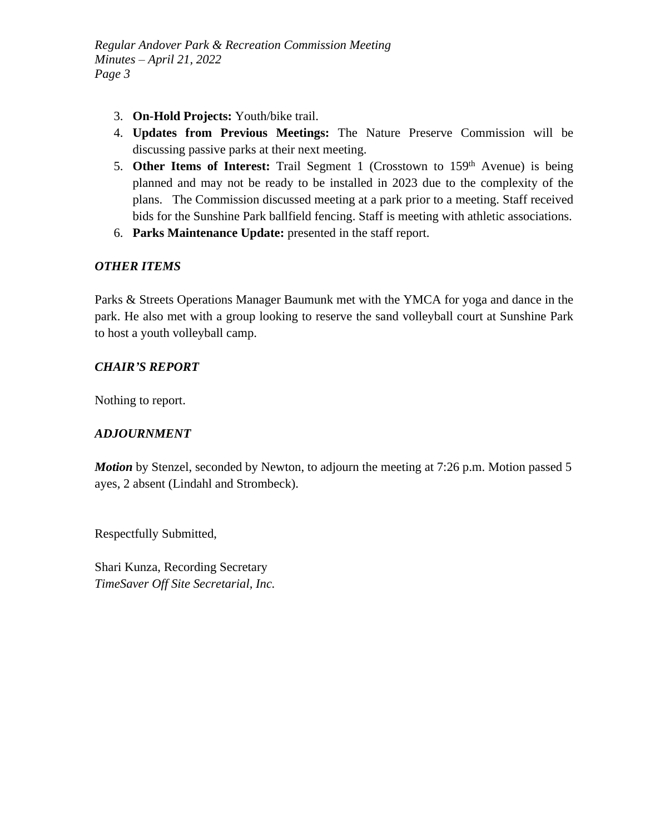- 3. **On-Hold Projects:** Youth/bike trail.
- 4. **Updates from Previous Meetings:** The Nature Preserve Commission will be discussing passive parks at their next meeting.
- 5. **Other Items of Interest:** Trail Segment 1 (Crosstown to 159th Avenue) is being planned and may not be ready to be installed in 2023 due to the complexity of the plans. The Commission discussed meeting at a park prior to a meeting. Staff received bids for the Sunshine Park ballfield fencing. Staff is meeting with athletic associations.
- 6. **Parks Maintenance Update:** presented in the staff report.

#### *OTHER ITEMS*

Parks & Streets Operations Manager Baumunk met with the YMCA for yoga and dance in the park. He also met with a group looking to reserve the sand volleyball court at Sunshine Park to host a youth volleyball camp.

#### *CHAIR'S REPORT*

Nothing to report.

#### *ADJOURNMENT*

*Motion* by Stenzel, seconded by Newton, to adjourn the meeting at 7:26 p.m. Motion passed 5 ayes, 2 absent (Lindahl and Strombeck).

Respectfully Submitted,

Shari Kunza, Recording Secretary *TimeSaver Off Site Secretarial, Inc.*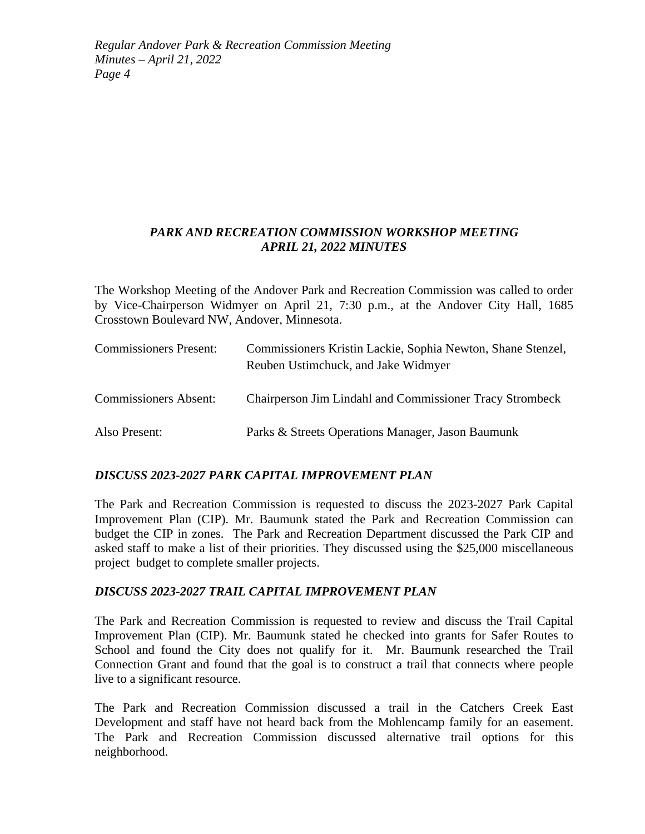## *PARK AND RECREATION COMMISSION WORKSHOP MEETING APRIL 21, 2022 MINUTES*

The Workshop Meeting of the Andover Park and Recreation Commission was called to order by Vice-Chairperson Widmyer on April 21, 7:30 p.m., at the Andover City Hall, 1685 Crosstown Boulevard NW, Andover, Minnesota.

| <b>Commissioners Present:</b> | Commissioners Kristin Lackie, Sophia Newton, Shane Stenzel,<br>Reuben Ustimchuck, and Jake Widmyer |
|-------------------------------|----------------------------------------------------------------------------------------------------|
| <b>Commissioners Absent:</b>  | Chairperson Jim Lindahl and Commissioner Tracy Strombeck                                           |
| Also Present:                 | Parks & Streets Operations Manager, Jason Baumunk                                                  |

### *DISCUSS 2023-2027 PARK CAPITAL IMPROVEMENT PLAN*

The Park and Recreation Commission is requested to discuss the 2023-2027 Park Capital Improvement Plan (CIP). Mr. Baumunk stated the Park and Recreation Commission can budget the CIP in zones. The Park and Recreation Department discussed the Park CIP and asked staff to make a list of their priorities. They discussed using the \$25,000 miscellaneous project budget to complete smaller projects.

#### *DISCUSS 2023-2027 TRAIL CAPITAL IMPROVEMENT PLAN*

The Park and Recreation Commission is requested to review and discuss the Trail Capital Improvement Plan (CIP). Mr. Baumunk stated he checked into grants for Safer Routes to School and found the City does not qualify for it. Mr. Baumunk researched the Trail Connection Grant and found that the goal is to construct a trail that connects where people live to a significant resource.

The Park and Recreation Commission discussed a trail in the Catchers Creek East Development and staff have not heard back from the Mohlencamp family for an easement. The Park and Recreation Commission discussed alternative trail options for this neighborhood.